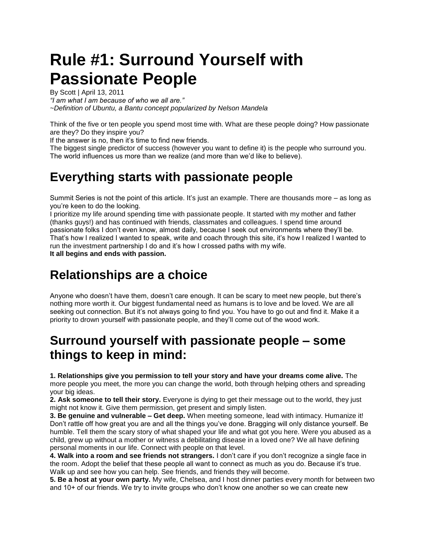# **Rule #1: Surround Yourself with Passionate People**

By Scott | April 13, 2011 *"I am what I am because of who we all are." ~Definition of Ubuntu, a Bantu concept popularized by Nelson Mandela*

Think of the five or ten people you spend most time with. What are these people doing? How passionate are they? Do they inspire you?

If the answer is no, then it's time to find new friends.

The biggest single predictor of success (however you want to define it) is the people who surround you. The world influences us more than we realize (and more than we'd like to believe).

## **Everything starts with passionate people**

Summit Series is not the point of this article. It's just an example. There are thousands more – as long as you're keen to do the looking.

I prioritize my life around spending time with passionate people. It started with my mother and father (thanks guys!) and has continued with friends, classmates and colleagues. I spend time around passionate folks I don't even know, almost daily, because I seek out environments where they'll be. That's how I realized I wanted to speak, write and coach through this site, it's how I realized I wanted to run the investment partnership I do and it's how I crossed paths with my wife. **It all begins and ends with passion.** 

# **Relationships are a choice**

Anyone who doesn't have them, doesn't care enough. It can be scary to meet new people, but there's nothing more worth it. Our biggest fundamental need as humans is to love and be loved. We are all seeking out connection. But it's not always going to find you. You have to go out and find it. Make it a priority to drown yourself with passionate people, and they'll come out of the wood work.

## **Surround yourself with passionate people – some things to keep in mind:**

**1. Relationships give you permission to tell your story and have your dreams come alive.** The more people you meet, the more you can change the world, both through helping others and spreading your big ideas.

**2. Ask someone to tell their story.** Everyone is dying to get their message out to the world, they just might not know it. Give them permission, get present and simply listen.

**3. Be genuine and vulnerable – Get deep.** When meeting someone, lead with intimacy. Humanize it! Don't rattle off how great you are and all the things you've done. Bragging will only distance yourself. Be humble. Tell them the scary story of what shaped your life and what got you here. Were you abused as a child, grew up without a mother or witness a debilitating disease in a loved one? We all have defining personal moments in our life. Connect with people on that level.

**4. Walk into a room and see friends not strangers.** I don't care if you don't recognize a single face in the room. Adopt the belief that these people all want to connect as much as you do. Because it's true. Walk up and see how you can help. See friends, and friends they will become.

**5. Be a host at your own party.** My wife, Chelsea, and I host dinner parties every month for between two and 10+ of our friends. We try to invite groups who don't know one another so we can create new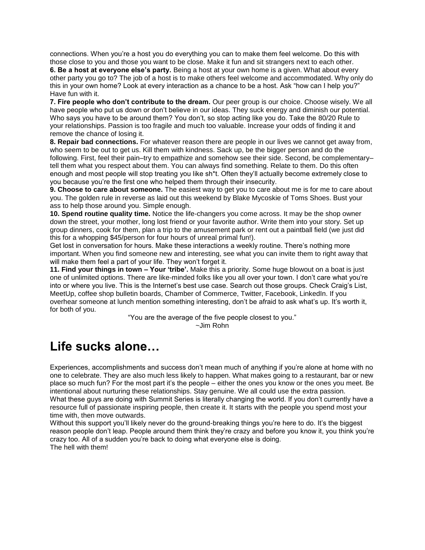connections. When you're a host you do everything you can to make them feel welcome. Do this with those close to you and those you want to be close. Make it fun and sit strangers next to each other. **6. Be a host at everyone else's party.** Being a host at your own home is a given. What about every other party you go to? The job of a host is to make others feel welcome and accommodated. Why only do this in your own home? Look at every interaction as a chance to be a host. Ask "how can I help you?" Have fun with it.

**7. Fire people who don't contribute to the dream.** Our peer group is our choice. Choose wisely. We all have people who put us down or don't believe in our ideas. They suck energy and diminish our potential. Who says you have to be around them? You don't, so stop acting like you do. Take the 80/20 Rule to your relationships. Passion is too fragile and much too valuable. Increase your odds of finding it and remove the chance of losing it.

**8. Repair bad connections.** For whatever reason there are people in our lives we cannot get away from, who seem to be out to get us. Kill them with kindness. Sack up, be the bigger person and do the following. First, feel their pain–try to empathize and somehow see their side. Second, be complementary– tell them what you respect about them. You can always find something. Relate to them. Do this often enough and most people will stop treating you like sh\*t. Often they'll actually become extremely close to you because you're the first one who helped them through their insecurity.

**9. Choose to care about someone.** The easiest way to get you to care about me is for me to care about you. The golden rule in reverse as laid out this weekend by Blake Mycoskie of Toms Shoes. Bust your ass to help those around you. Simple enough.

**10. Spend routine quality time.** Notice the life-changers you come across. It may be the shop owner down the street, your mother, long lost friend or your favorite author. Write them into your story. Set up group dinners, cook for them, plan a trip to the amusement park or rent out a paintball field (we just did this for a whopping \$45/person for four hours of unreal primal fun!).

Get lost in conversation for hours. Make these interactions a weekly routine. There's nothing more important. When you find someone new and interesting, see what you can invite them to right away that will make them feel a part of your life. They won't forget it.

**11. Find your things in town – Your 'tribe'.** Make this a priority. Some huge blowout on a boat is just one of unlimited options. There are like-minded folks like you all over your town. I don't care what you're into or where you live. This is the Internet's best use case. Search out those groups. Check Craig's List, MeetUp, coffee shop bulletin boards, Chamber of Commerce, Twitter, Facebook, LinkedIn. If you overhear someone at lunch mention something interesting, don't be afraid to ask what's up. It's worth it, for both of you.

"You are the average of the five people closest to you." ~Jim Rohn

## **Life sucks alone…**

Experiences, accomplishments and success don't mean much of anything if you're alone at home with no one to celebrate. They are also much less likely to happen. What makes going to a restaurant, bar or new place so much fun? For the most part it's the people – either the ones you know or the ones you meet. Be intentional about nurturing these relationships. Stay genuine. We all could use the extra passion. What these guys are doing with Summit Series is literally changing the world. If you don't currently have a resource full of passionate inspiring people, then create it. It starts with the people you spend most your time with, then move outwards.

Without this support you'll likely never do the ground-breaking things you're here to do. It's the biggest reason people don't leap. People around them think they're crazy and before you know it, you think you're crazy too. All of a sudden you're back to doing what everyone else is doing. The hell with them!